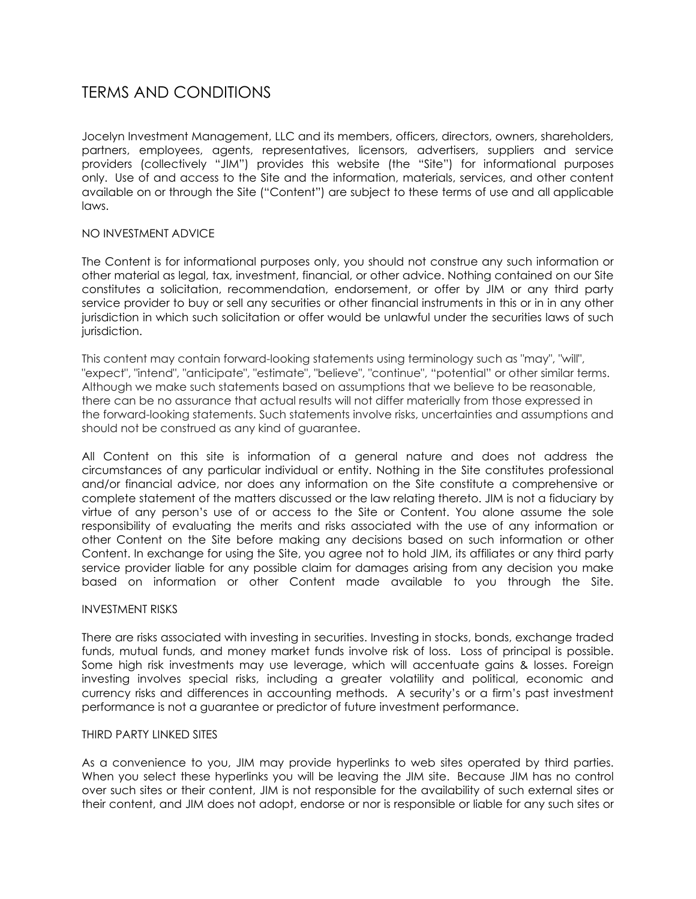# TERMS AND CONDITIONS

Jocelyn Investment Management, LLC and its members, officers, directors, owners, shareholders, partners, employees, agents, representatives, licensors, advertisers, suppliers and service providers (collectively "JIM") provides this website (the "Site") for informational purposes only. Use of and access to the Site and the information, materials, services, and other content available on or through the Site ("Content") are subject to these terms of use and all applicable laws.

# NO INVESTMENT ADVICE

The Content is for informational purposes only, you should not construe any such information or other material as legal, tax, investment, financial, or other advice. Nothing contained on our Site constitutes a solicitation, recommendation, endorsement, or offer by JIM or any third party service provider to buy or sell any securities or other financial instruments in this or in in any other jurisdiction in which such solicitation or offer would be unlawful under the securities laws of such jurisdiction.

This content may contain forward-looking statements using terminology such as "may", "will", "expect", "intend", "anticipate", "estimate", "believe", "continue", "potential" or other similar terms. Although we make such statements based on assumptions that we believe to be reasonable, there can be no assurance that actual results will not differ materially from those expressed in the forward-looking statements. Such statements involve risks, uncertainties and assumptions and should not be construed as any kind of guarantee.

All Content on this site is information of a general nature and does not address the circumstances of any particular individual or entity. Nothing in the Site constitutes professional and/or financial advice, nor does any information on the Site constitute a comprehensive or complete statement of the matters discussed or the law relating thereto. JIM is not a fiduciary by virtue of any person's use of or access to the Site or Content. You alone assume the sole responsibility of evaluating the merits and risks associated with the use of any information or other Content on the Site before making any decisions based on such information or other Content. In exchange for using the Site, you agree not to hold JIM, its affiliates or any third party service provider liable for any possible claim for damages arising from any decision you make based on information or other Content made available to you through the Site.

# INVESTMENT RISKS

There are risks associated with investing in securities. Investing in stocks, bonds, exchange traded funds, mutual funds, and money market funds involve risk of loss. Loss of principal is possible. Some high risk investments may use leverage, which will accentuate gains & losses. Foreign investing involves special risks, including a greater volatility and political, economic and currency risks and differences in accounting methods. A security's or a firm's past investment performance is not a guarantee or predictor of future investment performance.

#### THIRD PARTY LINKED SITES

As a convenience to you, JIM may provide hyperlinks to web sites operated by third parties. When you select these hyperlinks you will be leaving the JIM site. Because JIM has no control over such sites or their content, JIM is not responsible for the availability of such external sites or their content, and JIM does not adopt, endorse or nor is responsible or liable for any such sites or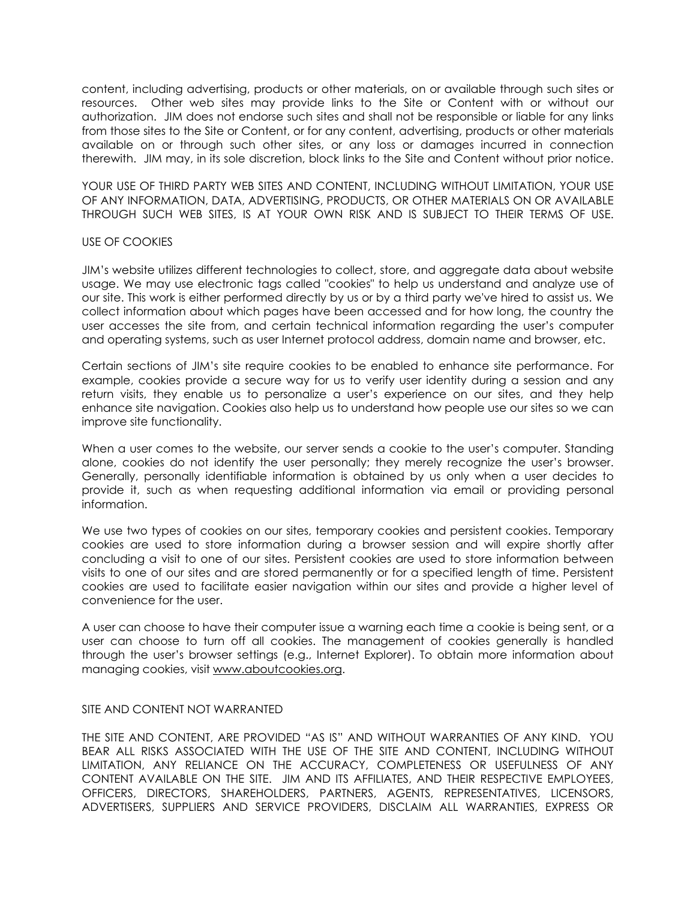content, including advertising, products or other materials, on or available through such sites or resources. Other web sites may provide links to the Site or Content with or without our authorization. JIM does not endorse such sites and shall not be responsible or liable for any links from those sites to the Site or Content, or for any content, advertising, products or other materials available on or through such other sites, or any loss or damages incurred in connection therewith. JIM may, in its sole discretion, block links to the Site and Content without prior notice.

YOUR USE OF THIRD PARTY WEB SITES AND CONTENT, INCLUDING WITHOUT LIMITATION, YOUR USE OF ANY INFORMATION, DATA, ADVERTISING, PRODUCTS, OR OTHER MATERIALS ON OR AVAILABLE THROUGH SUCH WEB SITES, IS AT YOUR OWN RISK AND IS SUBJECT TO THEIR TERMS OF USE.

#### USE OF COOKIES

JIM's website utilizes different technologies to collect, store, and aggregate data about website usage. We may use electronic tags called "cookies" to help us understand and analyze use of our site. This work is either performed directly by us or by a third party we've hired to assist us. We collect information about which pages have been accessed and for how long, the country the user accesses the site from, and certain technical information regarding the user's computer and operating systems, such as user Internet protocol address, domain name and browser, etc.

Certain sections of JIM's site require cookies to be enabled to enhance site performance. For example, cookies provide a secure way for us to verify user identity during a session and any return visits, they enable us to personalize a user's experience on our sites, and they help enhance site navigation. Cookies also help us to understand how people use our sites so we can improve site functionality.

When a user comes to the website, our server sends a cookie to the user's computer. Standing alone, cookies do not identify the user personally; they merely recognize the user's browser. Generally, personally identifiable information is obtained by us only when a user decides to provide it, such as when requesting additional information via email or providing personal information.

We use two types of cookies on our sites, temporary cookies and persistent cookies. Temporary cookies are used to store information during a browser session and will expire shortly after concluding a visit to one of our sites. Persistent cookies are used to store information between visits to one of our sites and are stored permanently or for a specified length of time. Persistent cookies are used to facilitate easier navigation within our sites and provide a higher level of convenience for the user.

A user can choose to have their computer issue a warning each time a cookie is being sent, or a user can choose to turn off all cookies. The management of cookies generally is handled through the user's browser settings (e.g., Internet Explorer). To obtain more information about managing cookies, visit www.aboutcookies.org.

# SITE AND CONTENT NOT WARRANTED

THE SITE AND CONTENT, ARE PROVIDED "AS IS" AND WITHOUT WARRANTIES OF ANY KIND. YOU BEAR ALL RISKS ASSOCIATED WITH THE USE OF THE SITE AND CONTENT, INCLUDING WITHOUT LIMITATION, ANY RELIANCE ON THE ACCURACY, COMPLETENESS OR USEFULNESS OF ANY CONTENT AVAILABLE ON THE SITE. JIM AND ITS AFFILIATES, AND THEIR RESPECTIVE EMPLOYEES, OFFICERS, DIRECTORS, SHAREHOLDERS, PARTNERS, AGENTS, REPRESENTATIVES, LICENSORS, ADVERTISERS, SUPPLIERS AND SERVICE PROVIDERS, DISCLAIM ALL WARRANTIES, EXPRESS OR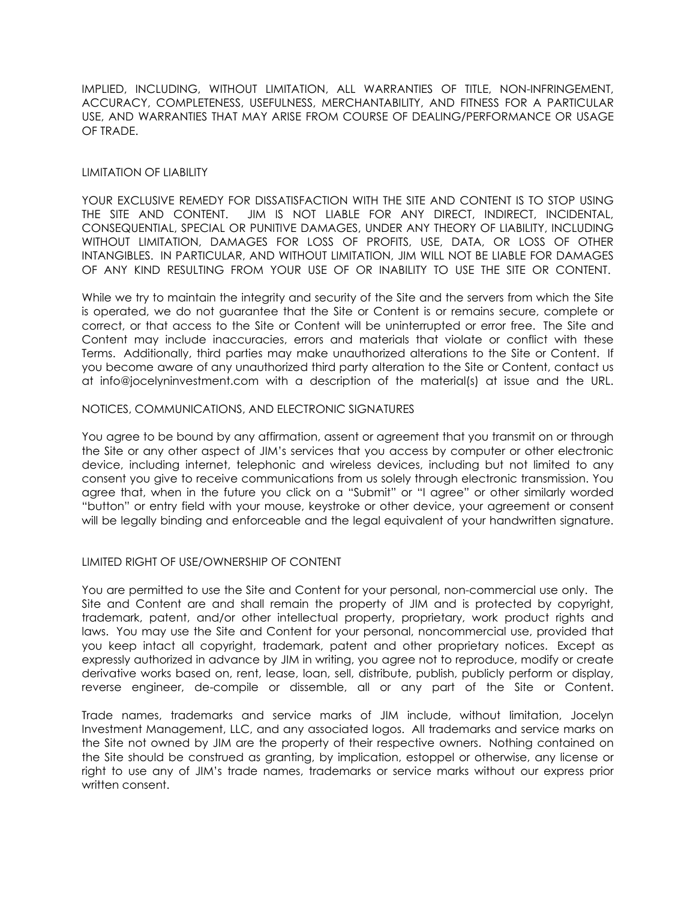IMPLIED, INCLUDING, WITHOUT LIMITATION, ALL WARRANTIES OF TITLE, NON-INFRINGEMENT, ACCURACY, COMPLETENESS, USEFULNESS, MERCHANTABILITY, AND FITNESS FOR A PARTICULAR USE, AND WARRANTIES THAT MAY ARISE FROM COURSE OF DEALING/PERFORMANCE OR USAGE OF TRADE.

## LIMITATION OF LIABILITY

YOUR EXCLUSIVE REMEDY FOR DISSATISFACTION WITH THE SITE AND CONTENT IS TO STOP USING THE SITE AND CONTENT. JIM IS NOT LIABLE FOR ANY DIRECT, INDIRECT, INCIDENTAL, CONSEQUENTIAL, SPECIAL OR PUNITIVE DAMAGES, UNDER ANY THEORY OF LIABILITY, INCLUDING WITHOUT LIMITATION, DAMAGES FOR LOSS OF PROFITS, USE, DATA, OR LOSS OF OTHER INTANGIBLES. IN PARTICULAR, AND WITHOUT LIMITATION, JIM WILL NOT BE LIABLE FOR DAMAGES OF ANY KIND RESULTING FROM YOUR USE OF OR INABILITY TO USE THE SITE OR CONTENT.

While we try to maintain the integrity and security of the Site and the servers from which the Site is operated, we do not guarantee that the Site or Content is or remains secure, complete or correct, or that access to the Site or Content will be uninterrupted or error free. The Site and Content may include inaccuracies, errors and materials that violate or conflict with these Terms. Additionally, third parties may make unauthorized alterations to the Site or Content. If you become aware of any unauthorized third party alteration to the Site or Content, contact us at info@jocelyninvestment.com with a description of the material(s) at issue and the URL.

## NOTICES, COMMUNICATIONS, AND ELECTRONIC SIGNATURES

You agree to be bound by any affirmation, assent or agreement that you transmit on or through the Site or any other aspect of JIM's services that you access by computer or other electronic device, including internet, telephonic and wireless devices, including but not limited to any consent you give to receive communications from us solely through electronic transmission. You agree that, when in the future you click on a "Submit" or "I agree" or other similarly worded "button" or entry field with your mouse, keystroke or other device, your agreement or consent will be legally binding and enforceable and the legal equivalent of your handwritten signature.

# LIMITED RIGHT OF USE/OWNERSHIP OF CONTENT

You are permitted to use the Site and Content for your personal, non-commercial use only. The Site and Content are and shall remain the property of JIM and is protected by copyright, trademark, patent, and/or other intellectual property, proprietary, work product rights and laws. You may use the Site and Content for your personal, noncommercial use, provided that you keep intact all copyright, trademark, patent and other proprietary notices. Except as expressly authorized in advance by JIM in writing, you agree not to reproduce, modify or create derivative works based on, rent, lease, loan, sell, distribute, publish, publicly perform or display, reverse engineer, de-compile or dissemble, all or any part of the Site or Content.

Trade names, trademarks and service marks of JIM include, without limitation, Jocelyn Investment Management, LLC, and any associated logos. All trademarks and service marks on the Site not owned by JIM are the property of their respective owners. Nothing contained on the Site should be construed as granting, by implication, estoppel or otherwise, any license or right to use any of JIM's trade names, trademarks or service marks without our express prior written consent.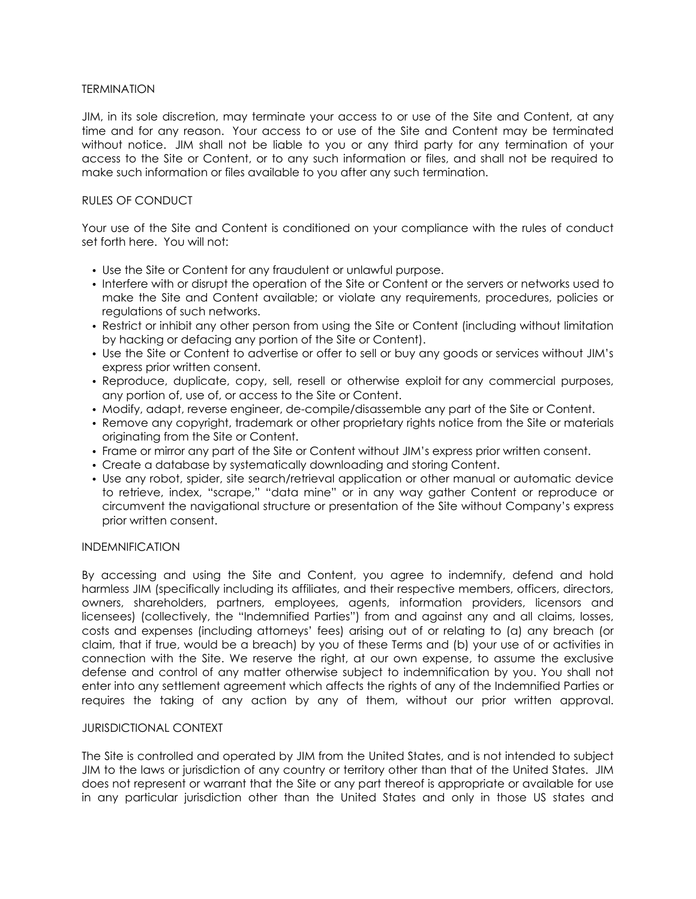## **TERMINATION**

JIM, in its sole discretion, may terminate your access to or use of the Site and Content, at any time and for any reason. Your access to or use of the Site and Content may be terminated without notice. JIM shall not be liable to you or any third party for any termination of your access to the Site or Content, or to any such information or files, and shall not be required to make such information or files available to you after any such termination.

## RULES OF CONDUCT

Your use of the Site and Content is conditioned on your compliance with the rules of conduct set forth here. You will not:

- Use the Site or Content for any fraudulent or unlawful purpose.
- Interfere with or disrupt the operation of the Site or Content or the servers or networks used to make the Site and Content available; or violate any requirements, procedures, policies or regulations of such networks.
- Restrict or inhibit any other person from using the Site or Content (including without limitation by hacking or defacing any portion of the Site or Content).
- Use the Site or Content to advertise or offer to sell or buy any goods or services without JIM's express prior written consent.
- Reproduce, duplicate, copy, sell, resell or otherwise exploit for any commercial purposes, any portion of, use of, or access to the Site or Content.
- Modify, adapt, reverse engineer, de-compile/disassemble any part of the Site or Content.
- Remove any copyright, trademark or other proprietary rights notice from the Site or materials originating from the Site or Content.
- Frame or mirror any part of the Site or Content without JIM's express prior written consent.
- Create a database by systematically downloading and storing Content.
- Use any robot, spider, site search/retrieval application or other manual or automatic device to retrieve, index, "scrape," "data mine" or in any way gather Content or reproduce or circumvent the navigational structure or presentation of the Site without Company's express prior written consent.

#### INDEMNIFICATION

By accessing and using the Site and Content, you agree to indemnify, defend and hold harmless JIM (specifically including its affiliates, and their respective members, officers, directors, owners, shareholders, partners, employees, agents, information providers, licensors and licensees) (collectively, the "Indemnified Parties") from and against any and all claims, losses, costs and expenses (including attorneys' fees) arising out of or relating to (a) any breach (or claim, that if true, would be a breach) by you of these Terms and (b) your use of or activities in connection with the Site. We reserve the right, at our own expense, to assume the exclusive defense and control of any matter otherwise subject to indemnification by you. You shall not enter into any settlement agreement which affects the rights of any of the Indemnified Parties or requires the taking of any action by any of them, without our prior written approval.

#### JURISDICTIONAL CONTEXT

The Site is controlled and operated by JIM from the United States, and is not intended to subject JIM to the laws or jurisdiction of any country or territory other than that of the United States. JIM does not represent or warrant that the Site or any part thereof is appropriate or available for use in any particular jurisdiction other than the United States and only in those US states and